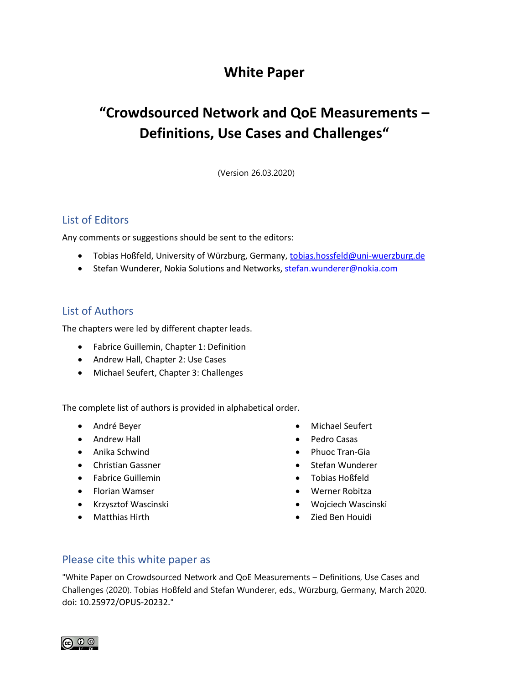## **White Paper**

# **"Crowdsourced Network and QoE Measurements – Definitions, Use Cases and Challenges"**

(Version 26.03.2020)

### List of Editors

Any comments or suggestions should be sent to the editors:

- Tobias Hoßfeld, University of Würzburg, Germany[, tobias.hossfeld@uni-wuerzburg.de](mailto:tobias.hossfeld@uni-wuerzburg.de)
- Stefan Wunderer, Nokia Solutions and Networks[, stefan.wunderer@nokia.com](mailto:stefan.wunderer@nokia.com)

#### List of Authors

The chapters were led by different chapter leads.

- Fabrice Guillemin, Chapter 1: Definition
- Andrew Hall, Chapter 2: Use Cases
- Michael Seufert, Chapter 3: Challenges

The complete list of authors is provided in alphabetical order.

- André Beyer
- Andrew Hall
- Anika Schwind
- Christian Gassner
- Fabrice Guillemin
- Florian Wamser
- Krzysztof Wascinski
- Matthias Hirth
- Michael Seufert
- Pedro Casas
- Phuoc Tran-Gia
- Stefan Wunderer
- Tobias Hoßfeld
- Werner Robitza
- Wojciech Wascinski
- Zied Ben Houidi

#### Please cite this white paper as

"White Paper on Crowdsourced Network and QoE Measurements – Definitions, Use Cases and Challenges (2020). Tobias Hoßfeld and Stefan Wunderer, eds., Würzburg, Germany, March 2020. doi: 10.25972/OPUS-20232."

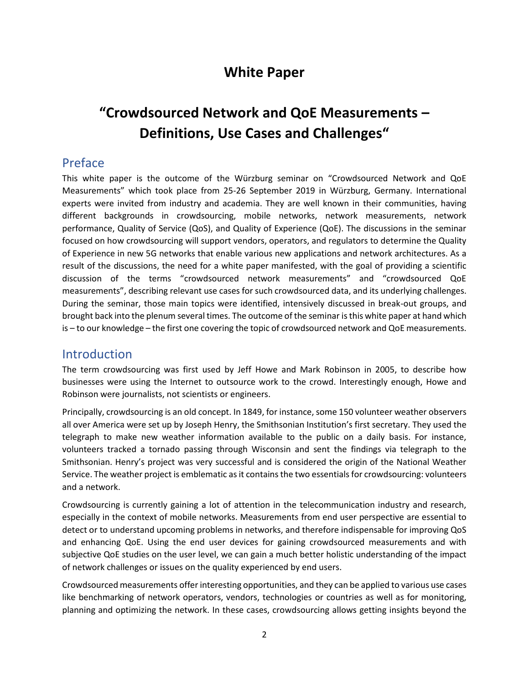## **White Paper**

# **"Crowdsourced Network and QoE Measurements – Definitions, Use Cases and Challenges"**

## Preface

This white paper is the outcome of the Würzburg seminar on "Crowdsourced Network and QoE Measurements" which took place from 25-26 September 2019 in Würzburg, Germany. International experts were invited from industry and academia. They are well known in their communities, having different backgrounds in crowdsourcing, mobile networks, network measurements, network performance, Quality of Service (QoS), and Quality of Experience (QoE). The discussions in the seminar focused on how crowdsourcing will support vendors, operators, and regulators to determine the Quality of Experience in new 5G networks that enable various new applications and network architectures. As a result of the discussions, the need for a white paper manifested, with the goal of providing a scientific discussion of the terms "crowdsourced network measurements" and "crowdsourced QoE measurements", describing relevant use cases for such crowdsourced data, and its underlying challenges. During the seminar, those main topics were identified, intensively discussed in break-out groups, and brought back into the plenum several times. The outcome of the seminar is this white paper at hand which is – to our knowledge – the first one covering the topic of crowdsourced network and QoE measurements.

## Introduction

The term crowdsourcing was first used by Jeff Howe and Mark Robinson in 2005, to describe how businesses were using the Internet to outsource work to the crowd. Interestingly enough, Howe and Robinson were journalists, not scientists or engineers.

Principally, crowdsourcing is an old concept. In 1849, for instance, some 150 volunteer weather observers all over America were set up by Joseph Henry, the Smithsonian Institution's first secretary. They used the telegraph to make new weather information available to the public on a daily basis. For instance, volunteers tracked a tornado passing through Wisconsin and sent the findings via telegraph to the Smithsonian. Henry's project was very successful and is considered the origin of the National Weather Service. The weather project is emblematic as it contains the two essentials for crowdsourcing: volunteers and a network.

Crowdsourcing is currently gaining a lot of attention in the telecommunication industry and research, especially in the context of mobile networks. Measurements from end user perspective are essential to detect or to understand upcoming problems in networks, and therefore indispensable for improving QoS and enhancing QoE. Using the end user devices for gaining crowdsourced measurements and with subjective QoE studies on the user level, we can gain a much better holistic understanding of the impact of network challenges or issues on the quality experienced by end users.

Crowdsourced measurements offer interesting opportunities, and they can be applied to various use cases like benchmarking of network operators, vendors, technologies or countries as well as for monitoring, planning and optimizing the network. In these cases, crowdsourcing allows getting insights beyond the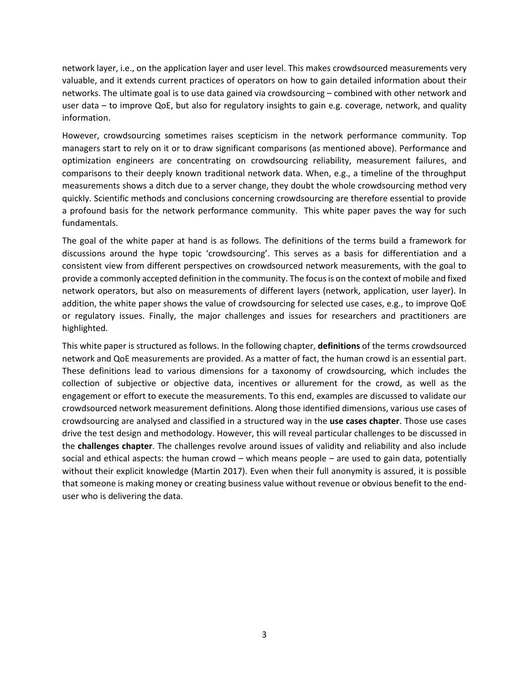network layer, i.e., on the application layer and user level. This makes crowdsourced measurements very valuable, and it extends current practices of operators on how to gain detailed information about their networks. The ultimate goal is to use data gained via crowdsourcing – combined with other network and user data – to improve QoE, but also for regulatory insights to gain e.g. coverage, network, and quality information.

However, crowdsourcing sometimes raises scepticism in the network performance community. Top managers start to rely on it or to draw significant comparisons (as mentioned above). Performance and optimization engineers are concentrating on crowdsourcing reliability, measurement failures, and comparisons to their deeply known traditional network data. When, e.g., a timeline of the throughput measurements shows a ditch due to a server change, they doubt the whole crowdsourcing method very quickly. Scientific methods and conclusions concerning crowdsourcing are therefore essential to provide a profound basis for the network performance community. This white paper paves the way for such fundamentals.

The goal of the white paper at hand is as follows. The definitions of the terms build a framework for discussions around the hype topic 'crowdsourcing'. This serves as a basis for differentiation and a consistent view from different perspectives on crowdsourced network measurements, with the goal to provide a commonly accepted definition in the community. The focus is on the context of mobile and fixed network operators, but also on measurements of different layers (network, application, user layer). In addition, the white paper shows the value of crowdsourcing for selected use cases, e.g., to improve QoE or regulatory issues. Finally, the major challenges and issues for researchers and practitioners are highlighted.

This white paper is structured as follows. In the following chapter, **definitions** of the terms crowdsourced network and QoE measurements are provided. As a matter of fact, the human crowd is an essential part. These definitions lead to various dimensions for a taxonomy of crowdsourcing, which includes the collection of subjective or objective data, incentives or allurement for the crowd, as well as the engagement or effort to execute the measurements. To this end, examples are discussed to validate our crowdsourced network measurement definitions. Along those identified dimensions, various use cases of crowdsourcing are analysed and classified in a structured way in the **use cases chapter**. Those use cases drive the test design and methodology. However, this will reveal particular challenges to be discussed in the **challenges chapter**. The challenges revolve around issues of validity and reliability and also include social and ethical aspects: the human crowd – which means people – are used to gain data, potentially without their explicit knowledge (Martin 2017). Even when their full anonymity is assured, it is possible that someone is making money or creating business value without revenue or obvious benefit to the enduser who is delivering the data.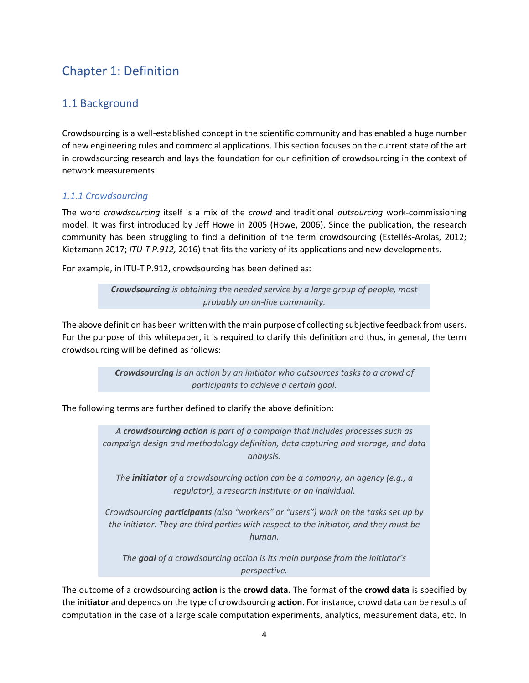## Chapter 1: Definition

## 1.1 Background

Crowdsourcing is a well-established concept in the scientific community and has enabled a huge number of new engineering rules and commercial applications. This section focuses on the current state of the art in crowdsourcing research and lays the foundation for our definition of crowdsourcing in the context of network measurements.

#### *1.1.1 Crowdsourcing*

The word *crowdsourcing* itself is a mix of the *crowd* and traditional *outsourcing* work-commissioning model. It was first introduced by Jeff Howe in 2005 (Howe, 2006). Since the publication, the research community has been struggling to find a definition of the term crowdsourcing (Estellés-Arolas, 2012; Kietzmann 2017; *ITU-T P.912,* 2016) that fits the variety of its applications and new developments.

For example, in ITU-T P.912, crowdsourcing has been defined as:

*Crowdsourcing is obtaining the needed service by a large group of people, most probably an on-line community.*

The above definition has been written with the main purpose of collecting subjective feedback from users. For the purpose of this whitepaper, it is required to clarify this definition and thus, in general, the term crowdsourcing will be defined as follows:

> *Crowdsourcing is an action by an initiator who outsources tasks to a crowd of participants to achieve a certain goal.*

The following terms are further defined to clarify the above definition:

*A crowdsourcing action is part of a campaign that includes processes such as campaign design and methodology definition, data capturing and storage, and data analysis.*

*The initiator of a crowdsourcing action can be a company, an agency (e.g., a regulator), a research institute or an individual.*

*Crowdsourcing participants (also "workers" or "users") work on the tasks set up by the initiator. They are third parties with respect to the initiator, and they must be human.*

*The goal of a crowdsourcing action is its main purpose from the initiator's perspective.*

The outcome of a crowdsourcing **action** is the **crowd data**. The format of the **crowd data** is specified by the **initiator** and depends on the type of crowdsourcing **action**. For instance, crowd data can be results of computation in the case of a large scale computation experiments, analytics, measurement data, etc. In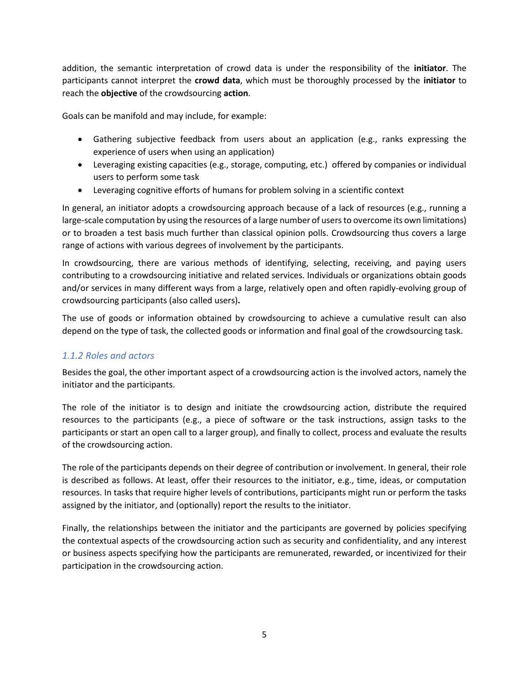addition, the semantic interpretation of crowd data is under the responsibility of the **initiator**. The participants cannot interpret the **crowd data**, which must be thoroughly processed by the **initiator** to reach the **objective** of the crowdsourcing **action**.

Goals can be manifold and may include, for example:

- Gathering subjective feedback from users about an application (e.g., ranks expressing the experience of users when using an application)
- Leveraging existing capacities (e.g., storage, computing, etc.) offered by companies or individual users to perform some task
- Leveraging cognitive efforts of humans for problem solving in a scientific context

In general, an initiator adopts a crowdsourcing approach because of a lack of resources (e.g., running a large-scale computation by using the resources of a large number of users to overcome its own limitations) or to broaden a test basis much further than classical opinion polls. Crowdsourcing thus covers a large range of actions with various degrees of involvement by the participants.

In crowdsourcing, there are various methods of identifying, selecting, receiving, and paying users contributing to a crowdsourcing initiative and related services. Individuals or organizations obtain goods and/or services in many different ways from a large, relatively open and often rapidly-evolving group of crowdsourcing participants (also called users)**.**

The use of goods or information obtained by crowdsourcing to achieve a cumulative result can also depend on the type of task, the collected goods or information and final goal of the crowdsourcing task.

#### *1.1.2 Roles and actors*

Besides the goal, the other important aspect of a crowdsourcing action is the involved actors, namely the initiator and the participants.

The role of the initiator is to design and initiate the crowdsourcing action, distribute the required resources to the participants (e.g., a piece of software or the task instructions, assign tasks to the participants or start an open call to a larger group), and finally to collect, process and evaluate the results of the crowdsourcing action.

The role of the participants depends on their degree of contribution or involvement. In general, their role is described as follows. At least, offer their resources to the initiator, e.g., time, ideas, or computation resources. In tasks that require higher levels of contributions, participants might run or perform the tasks assigned by the initiator, and (optionally) report the results to the initiator.

Finally, the relationships between the initiator and the participants are governed by policies specifying the contextual aspects of the crowdsourcing action such as security and confidentiality, and any interest or business aspects specifying how the participants are remunerated, rewarded, or incentivized for their participation in the crowdsourcing action.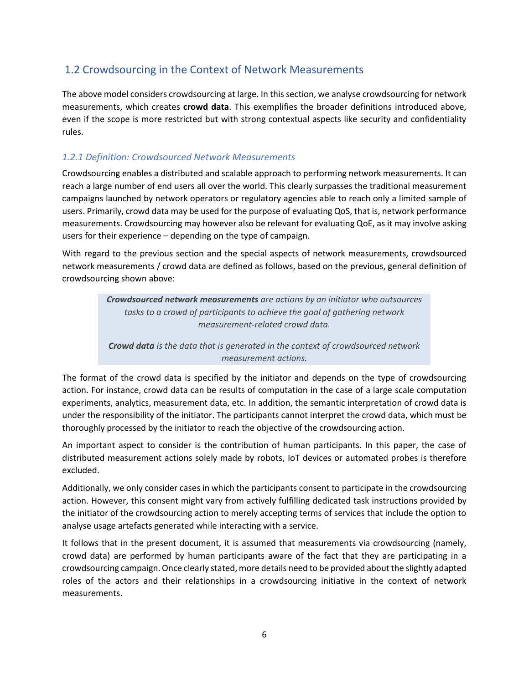## 1.2 Crowdsourcing in the Context of Network Measurements

The above model considers crowdsourcing at large. In this section, we analyse crowdsourcing for network measurements, which creates **crowd data**. This exemplifies the broader definitions introduced above, even if the scope is more restricted but with strong contextual aspects like security and confidentiality rules.

#### *1.2.1 Definition: Crowdsourced Network Measurements*

Crowdsourcing enables a distributed and scalable approach to performing network measurements. It can reach a large number of end users all over the world. This clearly surpasses the traditional measurement campaigns launched by network operators or regulatory agencies able to reach only a limited sample of users. Primarily, crowd data may be used for the purpose of evaluating QoS, that is, network performance measurements. Crowdsourcing may however also be relevant for evaluating QoE, as it may involve asking users for their experience – depending on the type of campaign.

With regard to the previous section and the special aspects of network measurements, crowdsourced network measurements / crowd data are defined as follows, based on the previous, general definition of crowdsourcing shown above:

> *Crowdsourced network measurements are actions by an initiator who outsources tasks to a crowd of participants to achieve the goal of gathering network measurement-related crowd data.*

> *Crowd data is the data that is generated in the context of crowdsourced network measurement actions.*

The format of the crowd data is specified by the initiator and depends on the type of crowdsourcing action. For instance, crowd data can be results of computation in the case of a large scale computation experiments, analytics, measurement data, etc. In addition, the semantic interpretation of crowd data is under the responsibility of the initiator. The participants cannot interpret the crowd data, which must be thoroughly processed by the initiator to reach the objective of the crowdsourcing action.

An important aspect to consider is the contribution of human participants. In this paper, the case of distributed measurement actions solely made by robots, IoT devices or automated probes is therefore excluded.

Additionally, we only consider cases in which the participants consent to participate in the crowdsourcing action. However, this consent might vary from actively fulfilling dedicated task instructions provided by the initiator of the crowdsourcing action to merely accepting terms of services that include the option to analyse usage artefacts generated while interacting with a service.

It follows that in the present document, it is assumed that measurements via crowdsourcing (namely, crowd data) are performed by human participants aware of the fact that they are participating in a crowdsourcing campaign. Once clearly stated, more details need to be provided about the slightly adapted roles of the actors and their relationships in a crowdsourcing initiative in the context of network measurements.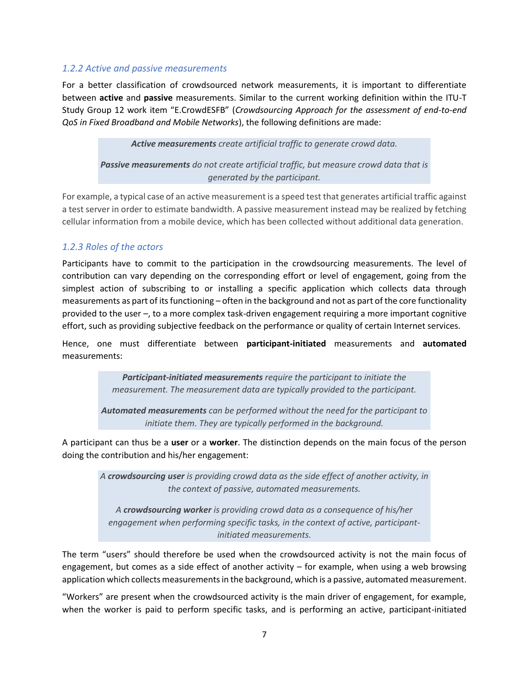#### *1.2.2 Active and passive measurements*

For a better classification of crowdsourced network measurements, it is important to differentiate between **active** and **passive** measurements. Similar to the current working definition within the ITU-T Study Group 12 work item "E.CrowdESFB" (*Crowdsourcing Approach for the assessment of end-to-end QoS in Fixed Broadband and Mobile Networks*), the following definitions are made:

*Active measurements create artificial traffic to generate crowd data.*

*Passive measurements do not create artificial traffic, but measure crowd data that is generated by the participant.*

For example, a typical case of an active measurement is a speed test that generates artificial traffic against a test server in order to estimate bandwidth. A passive measurement instead may be realized by fetching cellular information from a mobile device, which has been collected without additional data generation.

#### *1.2.3 Roles of the actors*

Participants have to commit to the participation in the crowdsourcing measurements. The level of contribution can vary depending on the corresponding effort or level of engagement, going from the simplest action of subscribing to or installing a specific application which collects data through measurements as part of its functioning – often in the background and not as part of the core functionality provided to the user –, to a more complex task-driven engagement requiring a more important cognitive effort, such as providing subjective feedback on the performance or quality of certain Internet services.

Hence, one must differentiate between **participant-initiated** measurements and **automated** measurements:

> *Participant-initiated measurements require the participant to initiate the measurement. The measurement data are typically provided to the participant.*

*Automated measurements can be performed without the need for the participant to initiate them. They are typically performed in the background.*

A participant can thus be a **user** or a **worker**. The distinction depends on the main focus of the person doing the contribution and his/her engagement:

*A crowdsourcing user is providing crowd data as the side effect of another activity, in the context of passive, automated measurements.*

*A crowdsourcing worker is providing crowd data as a consequence of his/her engagement when performing specific tasks, in the context of active, participantinitiated measurements.*

The term "users" should therefore be used when the crowdsourced activity is not the main focus of engagement, but comes as a side effect of another activity – for example, when using a web browsing application which collects measurements in the background, which is a passive, automated measurement.

"Workers" are present when the crowdsourced activity is the main driver of engagement, for example, when the worker is paid to perform specific tasks, and is performing an active, participant-initiated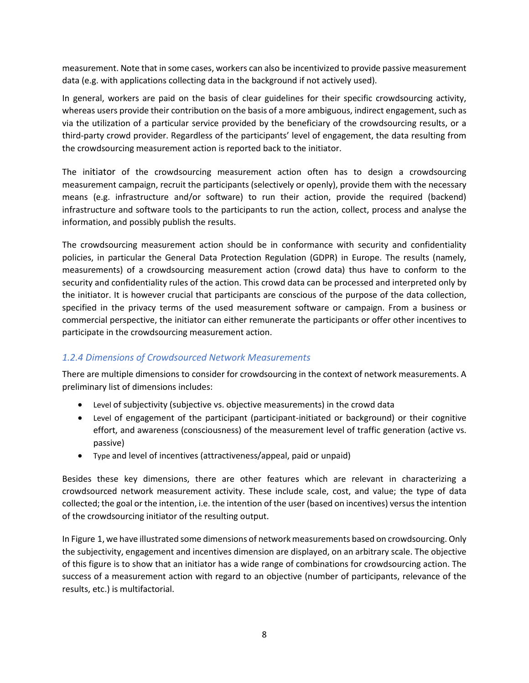measurement. Note that in some cases, workers can also be incentivized to provide passive measurement data (e.g. with applications collecting data in the background if not actively used).

In general, workers are paid on the basis of clear guidelines for their specific crowdsourcing activity, whereas users provide their contribution on the basis of a more ambiguous, indirect engagement, such as via the utilization of a particular service provided by the beneficiary of the crowdsourcing results, or a third-party crowd provider. Regardless of the participants' level of engagement, the data resulting from the crowdsourcing measurement action is reported back to the initiator.

The initiator of the crowdsourcing measurement action often has to design a crowdsourcing measurement campaign, recruit the participants (selectively or openly), provide them with the necessary means (e.g. infrastructure and/or software) to run their action, provide the required (backend) infrastructure and software tools to the participants to run the action, collect, process and analyse the information, and possibly publish the results.

The crowdsourcing measurement action should be in conformance with security and confidentiality policies, in particular the General Data Protection Regulation (GDPR) in Europe. The results (namely, measurements) of a crowdsourcing measurement action (crowd data) thus have to conform to the security and confidentiality rules of the action. This crowd data can be processed and interpreted only by the initiator. It is however crucial that participants are conscious of the purpose of the data collection, specified in the privacy terms of the used measurement software or campaign. From a business or commercial perspective, the initiator can either remunerate the participants or offer other incentives to participate in the crowdsourcing measurement action.

#### *1.2.4 Dimensions of Crowdsourced Network Measurements*

There are multiple dimensions to consider for crowdsourcing in the context of network measurements. A preliminary list of dimensions includes:

- Level of subjectivity (subjective vs. objective measurements) in the crowd data
- Level of engagement of the participant (participant-initiated or background) or their cognitive effort, and awareness (consciousness) of the measurement level of traffic generation (active vs. passive)
- Type and level of incentives (attractiveness/appeal, paid or unpaid)

Besides these key dimensions, there are other features which are relevant in characterizing a crowdsourced network measurement activity. These include scale, cost, and value; the type of data collected; the goal or the intention, i.e. the intention of the user (based on incentives) versus the intention of the crowdsourcing initiator of the resulting output.

In Figure 1, we have illustrated some dimensions of network measurements based on crowdsourcing. Only the subjectivity, engagement and incentives dimension are displayed, on an arbitrary scale. The objective of this figure is to show that an initiator has a wide range of combinations for crowdsourcing action. The success of a measurement action with regard to an objective (number of participants, relevance of the results, etc.) is multifactorial.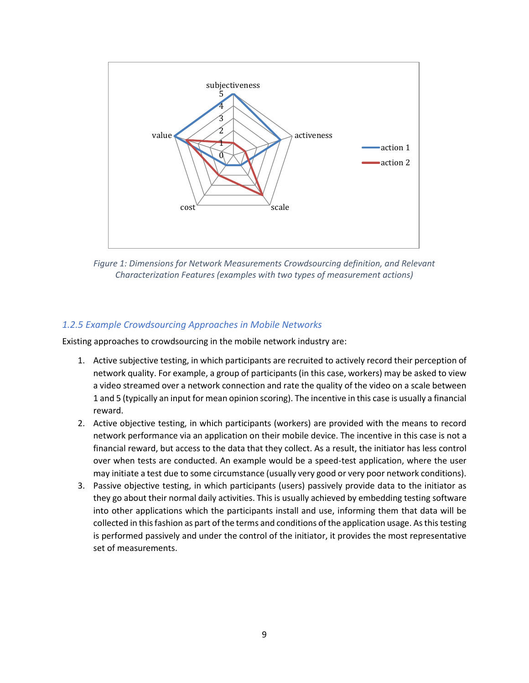

Figure 1: Dimensions for Network Measurements Crowdsourcing definition, and Relevant *Characterization Features (examples with two types of measurement actions)*

#### *1.2.5 Example Crowdsourcing Approaches in Mobile Networks*

Existing approaches to crowdsourcing in the mobile network industry are:

- 1. Active subjective testing, in which participants are recruited to actively record their perception of network quality. For example, a group of participants (in this case, workers) may be asked to view a video streamed over a network connection and rate the quality of the video on a scale between 1 and 5 (typically an input for mean opinion scoring). The incentive in this case is usually a financial reward.
- 2. Active objective testing, in which participants (workers) are provided with the means to record network performance via an application on their mobile device. The incentive in this case is not a financial reward, but access to the data that they collect. As a result, the initiator has less control over when tests are conducted. An example would be a speed-test application, where the user may initiate a test due to some circumstance (usually very good or very poor network conditions).
- 3. Passive objective testing, in which participants (users) passively provide data to the initiator as they go about their normal daily activities. This is usually achieved by embedding testing software into other applications which the participants install and use, informing them that data will be collected in this fashion as part of the terms and conditions of the application usage. As this testing is performed passively and under the control of the initiator, it provides the most representative set of measurements.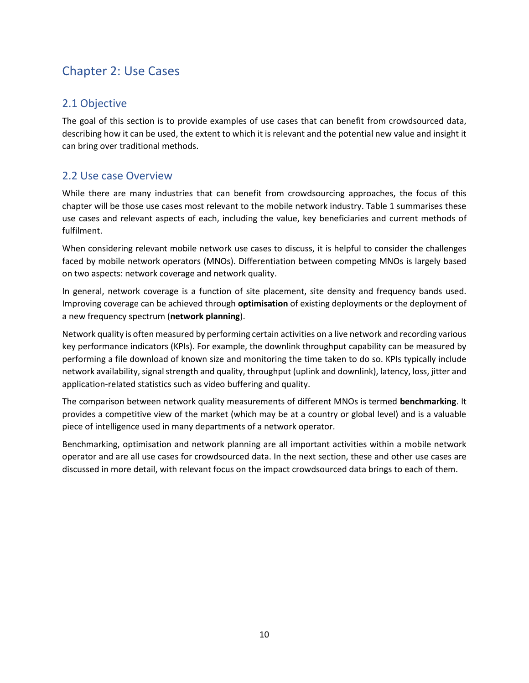## Chapter 2: Use Cases

## 2.1 Objective

The goal of this section is to provide examples of use cases that can benefit from crowdsourced data, describing how it can be used, the extent to which it is relevant and the potential new value and insight it can bring over traditional methods.

### 2.2 Use case Overview

While there are many industries that can benefit from crowdsourcing approaches, the focus of this chapter will be those use cases most relevant to the mobile network industry. Table 1 summarises these use cases and relevant aspects of each, including the value, key beneficiaries and current methods of fulfilment.

When considering relevant mobile network use cases to discuss, it is helpful to consider the challenges faced by mobile network operators (MNOs). Differentiation between competing MNOs is largely based on two aspects: network coverage and network quality.

In general, network coverage is a function of site placement, site density and frequency bands used. Improving coverage can be achieved through **optimisation** of existing deployments or the deployment of a new frequency spectrum (**network planning**).

Network quality is often measured by performing certain activities on a live network and recording various key performance indicators (KPIs). For example, the downlink throughput capability can be measured by performing a file download of known size and monitoring the time taken to do so. KPIs typically include network availability, signal strength and quality, throughput (uplink and downlink), latency, loss, jitter and application-related statistics such as video buffering and quality.

The comparison between network quality measurements of different MNOs is termed **benchmarking**. It provides a competitive view of the market (which may be at a country or global level) and is a valuable piece of intelligence used in many departments of a network operator.

Benchmarking, optimisation and network planning are all important activities within a mobile network operator and are all use cases for crowdsourced data. In the next section, these and other use cases are discussed in more detail, with relevant focus on the impact crowdsourced data brings to each of them.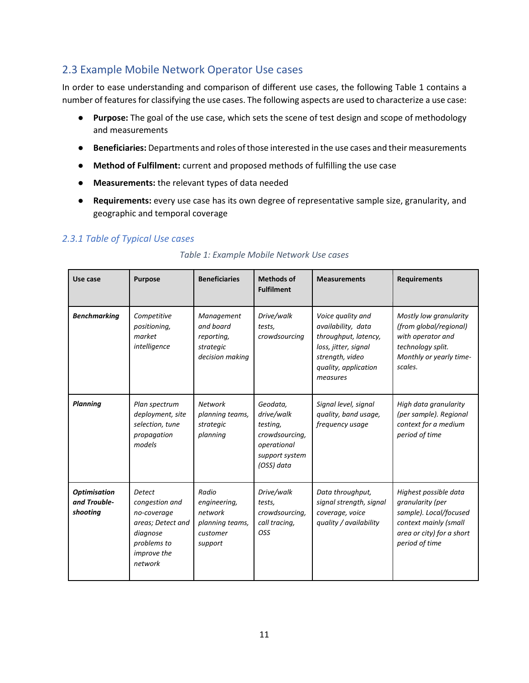## 2.3 Example Mobile Network Operator Use cases

In order to ease understanding and comparison of different use cases, the following Table 1 contains a number of features for classifying the use cases. The following aspects are used to characterize a use case:

- **Purpose:** The goal of the use case, which sets the scene of test design and scope of methodology and measurements
- **Beneficiaries:** Departments and roles of those interested in the use cases and their measurements
- **Method of Fulfilment:** current and proposed methods of fulfilling the use case
- **Measurements:** the relevant types of data needed
- **Requirements:** every use case has its own degree of representative sample size, granularity, and geographic and temporal coverage

#### *2.3.1 Table of Typical Use cases*

| Use case                                        | <b>Purpose</b>                                                                                                           | <b>Beneficiaries</b>                                                       | <b>Methods of</b><br><b>Fulfilment</b>                                                              | <b>Measurements</b>                                                                                                                            | <b>Requirements</b>                                                                                                                         |
|-------------------------------------------------|--------------------------------------------------------------------------------------------------------------------------|----------------------------------------------------------------------------|-----------------------------------------------------------------------------------------------------|------------------------------------------------------------------------------------------------------------------------------------------------|---------------------------------------------------------------------------------------------------------------------------------------------|
| <b>Benchmarking</b>                             | Competitive<br>positioning,<br>market<br>intelligence                                                                    | Management<br>and board<br>reporting,<br>strategic<br>decision making      | Drive/walk<br>tests.<br>crowdsourcing                                                               | Voice quality and<br>availability, data<br>throughput, latency,<br>loss, jitter, signal<br>strength, video<br>quality, application<br>measures | Mostly low granularity<br>(from global/regional)<br>with operator and<br>technology split.<br>Monthly or yearly time-<br>scales.            |
| <b>Planning</b>                                 | Plan spectrum<br>deployment, site<br>selection, tune<br>propagation<br>models                                            | <b>Network</b><br>planning teams,<br>strategic<br>planning                 | Geodata.<br>drive/walk<br>testing,<br>crowdsourcing,<br>operational<br>support system<br>(OSS) data | Signal level, signal<br>quality, band usage,<br>frequency usage                                                                                | High data granularity<br>(per sample). Regional<br>context for a medium<br>period of time                                                   |
| <b>Optimisation</b><br>and Trouble-<br>shooting | <b>Detect</b><br>congestion and<br>no-coverage<br>areas; Detect and<br>diagnose<br>problems to<br>improve the<br>network | Radio<br>engineering,<br>network<br>planning teams,<br>customer<br>support | Drive/walk<br>tests,<br>crowdsourcing,<br>call tracing,<br>OSS                                      | Data throughput,<br>signal strength, signal<br>coverage, voice<br>quality / availability                                                       | Highest possible data<br>granularity (per<br>sample). Local/focused<br>context mainly (small<br>area or city) for a short<br>period of time |

#### *Table 1: Example Mobile Network Use cases*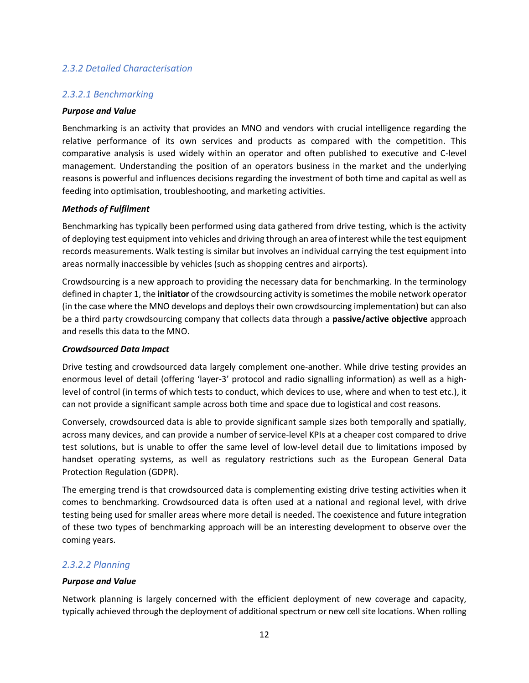#### *2.3.2 Detailed Characterisation*

#### *2.3.2.1 Benchmarking*

#### *Purpose and Value*

Benchmarking is an activity that provides an MNO and vendors with crucial intelligence regarding the relative performance of its own services and products as compared with the competition. This comparative analysis is used widely within an operator and often published to executive and C-level management. Understanding the position of an operators business in the market and the underlying reasons is powerful and influences decisions regarding the investment of both time and capital as well as feeding into optimisation, troubleshooting, and marketing activities.

#### *Methods of Fulfilment*

Benchmarking has typically been performed using data gathered from drive testing, which is the activity of deploying test equipment into vehicles and driving through an area of interest while the test equipment records measurements. Walk testing is similar but involves an individual carrying the test equipment into areas normally inaccessible by vehicles (such as shopping centres and airports).

Crowdsourcing is a new approach to providing the necessary data for benchmarking. In the terminology defined in chapter 1, the **initiator** of the crowdsourcing activity is sometimes the mobile network operator (in the case where the MNO develops and deploys their own crowdsourcing implementation) but can also be a third party crowdsourcing company that collects data through a **passive/active objective** approach and resells this data to the MNO.

#### *Crowdsourced Data Impact*

Drive testing and crowdsourced data largely complement one-another. While drive testing provides an enormous level of detail (offering 'layer-3' protocol and radio signalling information) as well as a highlevel of control (in terms of which tests to conduct, which devices to use, where and when to test etc.), it can not provide a significant sample across both time and space due to logistical and cost reasons.

Conversely, crowdsourced data is able to provide significant sample sizes both temporally and spatially, across many devices, and can provide a number of service-level KPIs at a cheaper cost compared to drive test solutions, but is unable to offer the same level of low-level detail due to limitations imposed by handset operating systems, as well as regulatory restrictions such as the European General Data Protection Regulation (GDPR).

The emerging trend is that crowdsourced data is complementing existing drive testing activities when it comes to benchmarking. Crowdsourced data is often used at a national and regional level, with drive testing being used for smaller areas where more detail is needed. The coexistence and future integration of these two types of benchmarking approach will be an interesting development to observe over the coming years.

#### *2.3.2.2 Planning*

#### *Purpose and Value*

Network planning is largely concerned with the efficient deployment of new coverage and capacity, typically achieved through the deployment of additional spectrum or new cell site locations. When rolling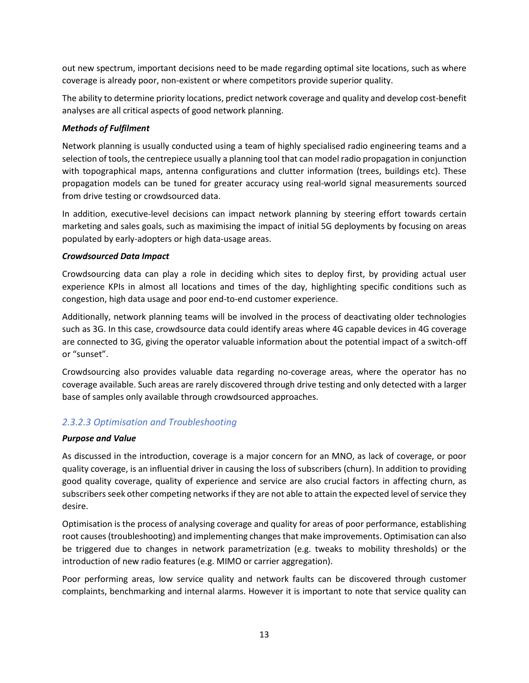out new spectrum, important decisions need to be made regarding optimal site locations, such as where coverage is already poor, non-existent or where competitors provide superior quality.

The ability to determine priority locations, predict network coverage and quality and develop cost-benefit analyses are all critical aspects of good network planning.

#### *Methods of Fulfilment*

Network planning is usually conducted using a team of highly specialised radio engineering teams and a selection of tools, the centrepiece usually a planning tool that can model radio propagation in conjunction with topographical maps, antenna configurations and clutter information (trees, buildings etc). These propagation models can be tuned for greater accuracy using real-world signal measurements sourced from drive testing or crowdsourced data.

In addition, executive-level decisions can impact network planning by steering effort towards certain marketing and sales goals, such as maximising the impact of initial 5G deployments by focusing on areas populated by early-adopters or high data-usage areas.

#### *Crowdsourced Data Impact*

Crowdsourcing data can play a role in deciding which sites to deploy first, by providing actual user experience KPIs in almost all locations and times of the day, highlighting specific conditions such as congestion, high data usage and poor end-to-end customer experience.

Additionally, network planning teams will be involved in the process of deactivating older technologies such as 3G. In this case, crowdsource data could identify areas where 4G capable devices in 4G coverage are connected to 3G, giving the operator valuable information about the potential impact of a switch-off or "sunset".

Crowdsourcing also provides valuable data regarding no-coverage areas, where the operator has no coverage available. Such areas are rarely discovered through drive testing and only detected with a larger base of samples only available through crowdsourced approaches.

#### *2.3.2.3 Optimisation and Troubleshooting*

#### *Purpose and Value*

As discussed in the introduction, coverage is a major concern for an MNO, as lack of coverage, or poor quality coverage, is an influential driver in causing the loss of subscribers (churn). In addition to providing good quality coverage, quality of experience and service are also crucial factors in affecting churn, as subscribers seek other competing networks if they are not able to attain the expected level of service they desire.

Optimisation is the process of analysing coverage and quality for areas of poor performance, establishing root causes (troubleshooting) and implementing changes that make improvements. Optimisation can also be triggered due to changes in network parametrization (e.g. tweaks to mobility thresholds) or the introduction of new radio features (e.g. MIMO or carrier aggregation).

Poor performing areas, low service quality and network faults can be discovered through customer complaints, benchmarking and internal alarms. However it is important to note that service quality can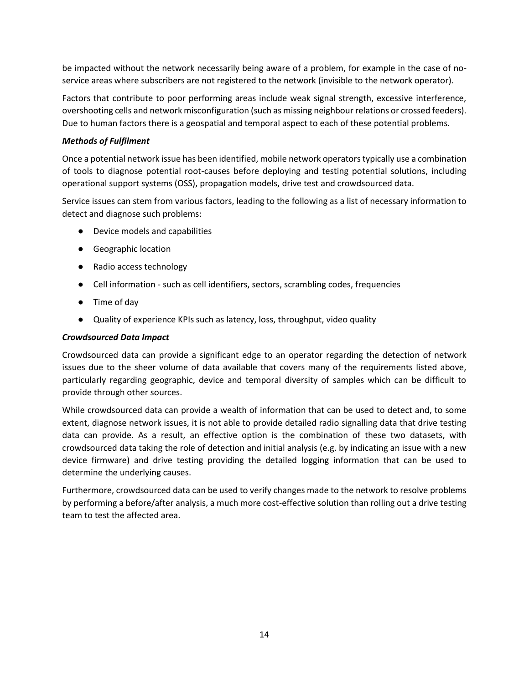be impacted without the network necessarily being aware of a problem, for example in the case of noservice areas where subscribers are not registered to the network (invisible to the network operator).

Factors that contribute to poor performing areas include weak signal strength, excessive interference, overshooting cells and network misconfiguration (such as missing neighbour relations or crossed feeders). Due to human factors there is a geospatial and temporal aspect to each of these potential problems.

#### *Methods of Fulfilment*

Once a potential network issue has been identified, mobile network operators typically use a combination of tools to diagnose potential root-causes before deploying and testing potential solutions, including operational support systems (OSS), propagation models, drive test and crowdsourced data.

Service issues can stem from various factors, leading to the following as a list of necessary information to detect and diagnose such problems:

- Device models and capabilities
- Geographic location
- Radio access technology
- Cell information such as cell identifiers, sectors, scrambling codes, frequencies
- Time of day
- Quality of experience KPIs such as latency, loss, throughput, video quality

#### *Crowdsourced Data Impact*

Crowdsourced data can provide a significant edge to an operator regarding the detection of network issues due to the sheer volume of data available that covers many of the requirements listed above, particularly regarding geographic, device and temporal diversity of samples which can be difficult to provide through other sources.

While crowdsourced data can provide a wealth of information that can be used to detect and, to some extent, diagnose network issues, it is not able to provide detailed radio signalling data that drive testing data can provide. As a result, an effective option is the combination of these two datasets, with crowdsourced data taking the role of detection and initial analysis (e.g. by indicating an issue with a new device firmware) and drive testing providing the detailed logging information that can be used to determine the underlying causes.

Furthermore, crowdsourced data can be used to verify changes made to the network to resolve problems by performing a before/after analysis, a much more cost-effective solution than rolling out a drive testing team to test the affected area.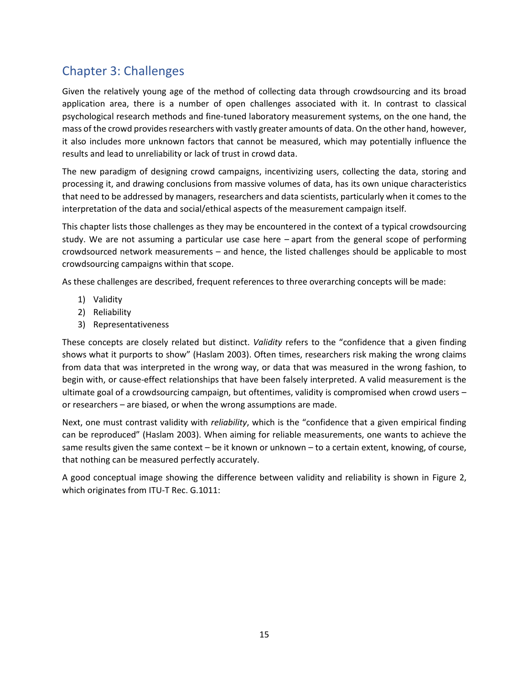## Chapter 3: Challenges

Given the relatively young age of the method of collecting data through crowdsourcing and its broad application area, there is a number of open challenges associated with it. In contrast to classical psychological research methods and fine-tuned laboratory measurement systems, on the one hand, the mass of the crowd provides researchers with vastly greater amounts of data. On the other hand, however, it also includes more unknown factors that cannot be measured, which may potentially influence the results and lead to unreliability or lack of trust in crowd data.

The new paradigm of designing crowd campaigns, incentivizing users, collecting the data, storing and processing it, and drawing conclusions from massive volumes of data, has its own unique characteristics that need to be addressed by managers, researchers and data scientists, particularly when it comes to the interpretation of the data and social/ethical aspects of the measurement campaign itself.

This chapter lists those challenges as they may be encountered in the context of a typical crowdsourcing study. We are not assuming a particular use case here – apart from the general scope of performing crowdsourced network measurements – and hence, the listed challenges should be applicable to most crowdsourcing campaigns within that scope.

As these challenges are described, frequent references to three overarching concepts will be made:

- 1) Validity
- 2) Reliability
- 3) Representativeness

These concepts are closely related but distinct. *Validity* refers to the "confidence that a given finding shows what it purports to show" (Haslam 2003). Often times, researchers risk making the wrong claims from data that was interpreted in the wrong way, or data that was measured in the wrong fashion, to begin with, or cause-effect relationships that have been falsely interpreted. A valid measurement is the ultimate goal of a crowdsourcing campaign, but oftentimes, validity is compromised when crowd users – or researchers – are biased, or when the wrong assumptions are made.

Next, one must contrast validity with *reliability*, which is the "confidence that a given empirical finding can be reproduced" (Haslam 2003). When aiming for reliable measurements, one wants to achieve the same results given the same context – be it known or unknown – to a certain extent, knowing, of course, that nothing can be measured perfectly accurately.

A good conceptual image showing the difference between validity and reliability is shown in Figure 2, which originates from ITU-T Rec. G.1011: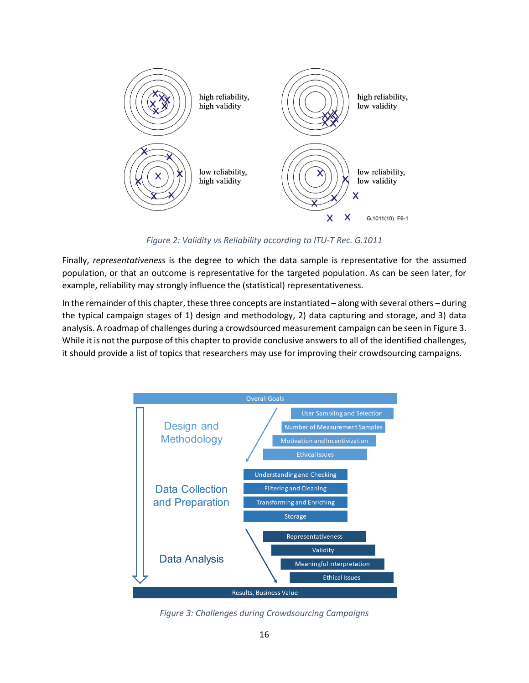

*Figure 2: Validity vs Reliability according to ITU-T Rec. G.1011*

Finally, *representativeness* is the degree to which the data sample is representative for the assumed population, or that an outcome is representative for the targeted population. As can be seen later, for example, reliability may strongly influence the (statistical) representativeness.

In the remainder of this chapter, these three concepts are instantiated – along with several others – during the typical campaign stages of 1) design and methodology, 2) data capturing and storage, and 3) data analysis. A roadmap of challenges during a crowdsourced measurement campaign can be seen in Figure 3. While it is not the purpose of this chapter to provide conclusive answers to all of the identified challenges, it should provide a list of topics that researchers may use for improving their crowdsourcing campaigns.



*Figure 3: Challenges during Crowdsourcing Campaigns*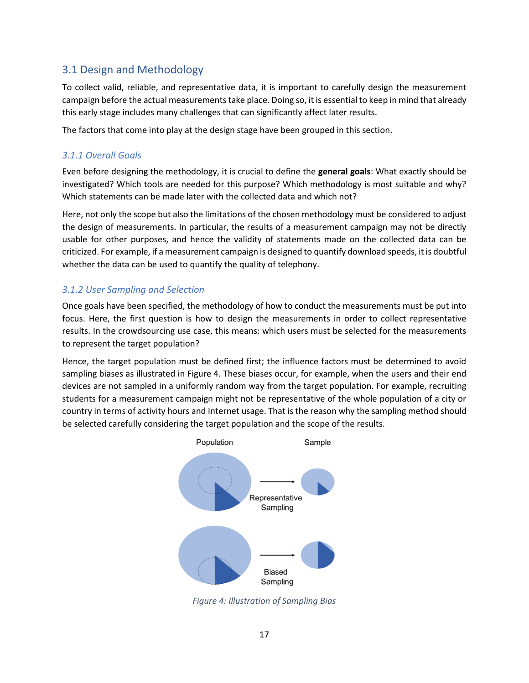### 3.1 Design and Methodology

To collect valid, reliable, and representative data, it is important to carefully design the measurement campaign before the actual measurements take place. Doing so, it is essential to keep in mind that already this early stage includes many challenges that can significantly affect later results.

The factors that come into play at the design stage have been grouped in this section.

#### *3.1.1 Overall Goals*

Even before designing the methodology, it is crucial to define the **general goals**: What exactly should be investigated? Which tools are needed for this purpose? Which methodology is most suitable and why? Which statements can be made later with the collected data and which not?

Here, not only the scope but also the limitations of the chosen methodology must be considered to adjust the design of measurements. In particular, the results of a measurement campaign may not be directly usable for other purposes, and hence the validity of statements made on the collected data can be criticized. For example, if a measurement campaign is designed to quantify download speeds, it is doubtful whether the data can be used to quantify the quality of telephony.

#### *3.1.2 User Sampling and Selection*

Once goals have been specified, the methodology of how to conduct the measurements must be put into focus. Here, the first question is how to design the measurements in order to collect representative results. In the crowdsourcing use case, this means: which users must be selected for the measurements to represent the target population?

Hence, the target population must be defined first; the influence factors must be determined to avoid sampling biases as illustrated in Figure 4. These biases occur, for example, when the users and their end devices are not sampled in a uniformly random way from the target population. For example, recruiting students for a measurement campaign might not be representative of the whole population of a city or country in terms of activity hours and Internet usage. That is the reason why the sampling method should be selected carefully considering the target population and the scope of the results.



*Figure 4: Illustration of Sampling Bias*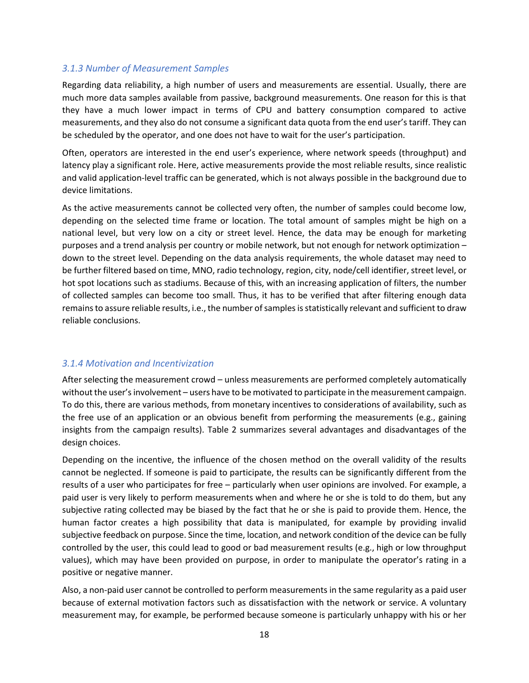#### *3.1.3 Number of Measurement Samples*

Regarding data reliability, a high number of users and measurements are essential. Usually, there are much more data samples available from passive, background measurements. One reason for this is that they have a much lower impact in terms of CPU and battery consumption compared to active measurements, and they also do not consume a significant data quota from the end user's tariff. They can be scheduled by the operator, and one does not have to wait for the user's participation.

Often, operators are interested in the end user's experience, where network speeds (throughput) and latency play a significant role. Here, active measurements provide the most reliable results, since realistic and valid application-level traffic can be generated, which is not always possible in the background due to device limitations.

As the active measurements cannot be collected very often, the number of samples could become low, depending on the selected time frame or location. The total amount of samples might be high on a national level, but very low on a city or street level. Hence, the data may be enough for marketing purposes and a trend analysis per country or mobile network, but not enough for network optimization – down to the street level. Depending on the data analysis requirements, the whole dataset may need to be further filtered based on time, MNO, radio technology, region, city, node/cell identifier, street level, or hot spot locations such as stadiums. Because of this, with an increasing application of filters, the number of collected samples can become too small. Thus, it has to be verified that after filtering enough data remains to assure reliable results, i.e., the number of samples is statistically relevant and sufficient to draw reliable conclusions.

#### *3.1.4 Motivation and Incentivization*

After selecting the measurement crowd – unless measurements are performed completely automatically without the user's involvement – users have to be motivated to participate in the measurement campaign. To do this, there are various methods, from monetary incentives to considerations of availability, such as the free use of an application or an obvious benefit from performing the measurements (e.g., gaining insights from the campaign results). Table 2 summarizes several advantages and disadvantages of the design choices.

Depending on the incentive, the influence of the chosen method on the overall validity of the results cannot be neglected. If someone is paid to participate, the results can be significantly different from the results of a user who participates for free – particularly when user opinions are involved. For example, a paid user is very likely to perform measurements when and where he or she is told to do them, but any subjective rating collected may be biased by the fact that he or she is paid to provide them. Hence, the human factor creates a high possibility that data is manipulated, for example by providing invalid subjective feedback on purpose. Since the time, location, and network condition of the device can be fully controlled by the user, this could lead to good or bad measurement results (e.g., high or low throughput values), which may have been provided on purpose, in order to manipulate the operator's rating in a positive or negative manner.

Also, a non-paid user cannot be controlled to perform measurements in the same regularity as a paid user because of external motivation factors such as dissatisfaction with the network or service. A voluntary measurement may, for example, be performed because someone is particularly unhappy with his or her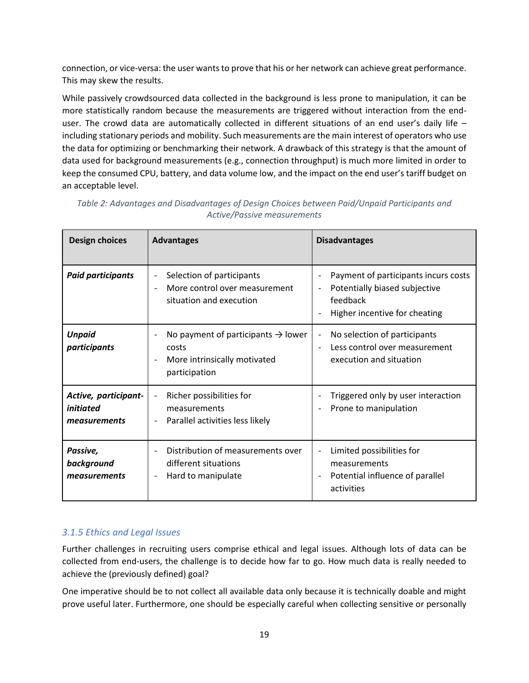connection, or vice-versa: the user wants to prove that his or her network can achieve great performance. This may skew the results.

While passively crowdsourced data collected in the background is less prone to manipulation, it can be more statistically random because the measurements are triggered without interaction from the enduser. The crowd data are automatically collected in different situations of an end user's daily life including stationary periods and mobility. Such measurements are the main interest of operators who use the data for optimizing or benchmarking their network. A drawback of this strategy is that the amount of data used for background measurements (e.g., connection throughput) is much more limited in order to keep the consumed CPU, battery, and data volume low, and the impact on the end user's tariff budget on an acceptable level.

| <b>Design choices</b>                             | <b>Advantages</b>                                                                                                 | <b>Disadvantages</b>                                                                                                                                                       |
|---------------------------------------------------|-------------------------------------------------------------------------------------------------------------------|----------------------------------------------------------------------------------------------------------------------------------------------------------------------------|
| <b>Paid participants</b>                          | Selection of participants<br>$\overline{\phantom{a}}$<br>More control over measurement<br>situation and execution | Payment of participants incurs costs<br>$\overline{\phantom{a}}$<br>Potentially biased subjective<br>$\overline{\phantom{a}}$<br>feedback<br>Higher incentive for cheating |
| <b>Unpaid</b><br>participants                     | No payment of participants $\rightarrow$ lower<br>costs<br>More intrinsically motivated<br>participation          | No selection of participants<br>$\overline{\phantom{a}}$<br>Less control over measurement<br>execution and situation                                                       |
| Active, participant-<br>initiated<br>measurements | Richer possibilities for<br>$\overline{\phantom{a}}$<br>measurements<br>Parallel activities less likely           | Triggered only by user interaction<br>Prone to manipulation                                                                                                                |
| Passive,<br>background<br>measurements            | Distribution of measurements over<br>different situations<br>Hard to manipulate                                   | Limited possibilities for<br>measurements<br>Potential influence of parallel<br>activities                                                                                 |

*Table 2: Advantages and Disadvantages of Design Choices between Paid/Unpaid Participants and Active/Passive measurements*

#### *3.1.5 Ethics and Legal Issues*

Further challenges in recruiting users comprise ethical and legal issues. Although lots of data can be collected from end-users, the challenge is to decide how far to go. How much data is really needed to achieve the (previously defined) goal?

One imperative should be to not collect all available data only because it is technically doable and might prove useful later. Furthermore, one should be especially careful when collecting sensitive or personally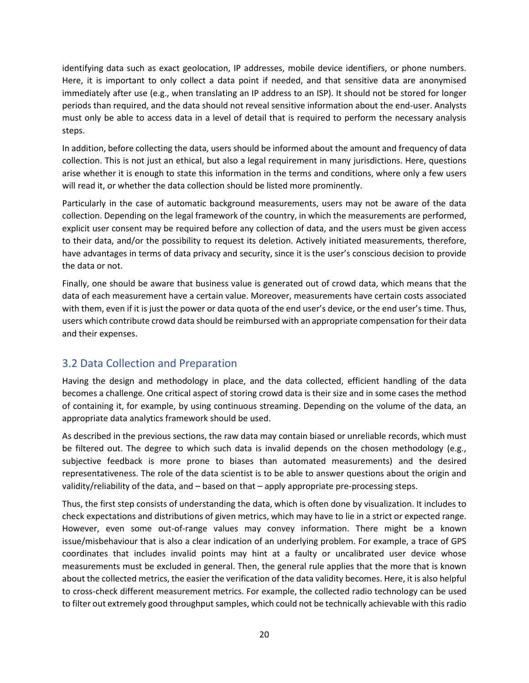identifying data such as exact geolocation, IP addresses, mobile device identifiers, or phone numbers. Here, it is important to only collect a data point if needed, and that sensitive data are anonymised immediately after use (e.g., when translating an IP address to an ISP). It should not be stored for longer periods than required, and the data should not reveal sensitive information about the end-user. Analysts must only be able to access data in a level of detail that is required to perform the necessary analysis steps.

In addition, before collecting the data, users should be informed about the amount and frequency of data collection. This is not just an ethical, but also a legal requirement in many jurisdictions. Here, questions arise whether it is enough to state this information in the terms and conditions, where only a few users will read it, or whether the data collection should be listed more prominently.

Particularly in the case of automatic background measurements, users may not be aware of the data collection. Depending on the legal framework of the country, in which the measurements are performed, explicit user consent may be required before any collection of data, and the users must be given access to their data, and/or the possibility to request its deletion. Actively initiated measurements, therefore, have advantages in terms of data privacy and security, since it is the user's conscious decision to provide the data or not.

Finally, one should be aware that business value is generated out of crowd data, which means that the data of each measurement have a certain value. Moreover, measurements have certain costs associated with them, even if it is just the power or data quota of the end user's device, or the end user's time. Thus, users which contribute crowd data should be reimbursed with an appropriate compensation for their data and their expenses.

## 3.2 Data Collection and Preparation

Having the design and methodology in place, and the data collected, efficient handling of the data becomes a challenge. One critical aspect of storing crowd data is their size and in some cases the method of containing it, for example, by using continuous streaming. Depending on the volume of the data, an appropriate data analytics framework should be used.

As described in the previous sections, the raw data may contain biased or unreliable records, which must be filtered out. The degree to which such data is invalid depends on the chosen methodology (e.g., subjective feedback is more prone to biases than automated measurements) and the desired representativeness. The role of the data scientist is to be able to answer questions about the origin and validity/reliability of the data, and – based on that – apply appropriate pre-processing steps.

Thus, the first step consists of understanding the data, which is often done by visualization. It includes to check expectations and distributions of given metrics, which may have to lie in a strict or expected range. However, even some out-of-range values may convey information. There might be a known issue/misbehaviour that is also a clear indication of an underlying problem. For example, a trace of GPS coordinates that includes invalid points may hint at a faulty or uncalibrated user device whose measurements must be excluded in general. Then, the general rule applies that the more that is known about the collected metrics, the easier the verification of the data validity becomes. Here, it is also helpful to cross-check different measurement metrics. For example, the collected radio technology can be used to filter out extremely good throughput samples, which could not be technically achievable with this radio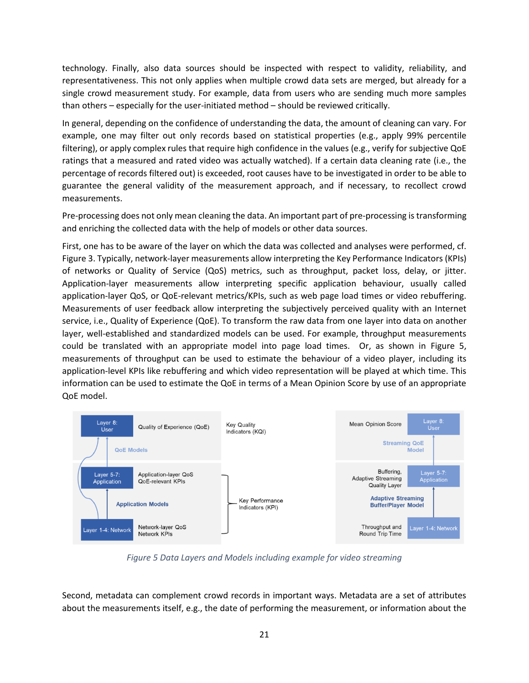technology. Finally, also data sources should be inspected with respect to validity, reliability, and representativeness. This not only applies when multiple crowd data sets are merged, but already for a single crowd measurement study. For example, data from users who are sending much more samples than others – especially for the user-initiated method – should be reviewed critically.

In general, depending on the confidence of understanding the data, the amount of cleaning can vary. For example, one may filter out only records based on statistical properties (e.g., apply 99% percentile filtering), or apply complex rules that require high confidence in the values (e.g., verify for subjective QoE ratings that a measured and rated video was actually watched). If a certain data cleaning rate (i.e., the percentage of records filtered out) is exceeded, root causes have to be investigated in order to be able to guarantee the general validity of the measurement approach, and if necessary, to recollect crowd measurements.

Pre-processing does not only mean cleaning the data. An important part of pre-processing is transforming and enriching the collected data with the help of models or other data sources.

First, one has to be aware of the layer on which the data was collected and analyses were performed, cf. Figure 3. Typically, network-layer measurements allow interpreting the Key Performance Indicators (KPIs) of networks or Quality of Service (QoS) metrics, such as throughput, packet loss, delay, or jitter. Application-layer measurements allow interpreting specific application behaviour, usually called application-layer QoS, or QoE-relevant metrics/KPIs, such as web page load times or video rebuffering. Measurements of user feedback allow interpreting the subjectively perceived quality with an Internet service, i.e., Quality of Experience (QoE). To transform the raw data from one layer into data on another layer, well-established and standardized models can be used. For example, throughput measurements could be translated with an appropriate model into page load times. Or, as shown in Figure 5, measurements of throughput can be used to estimate the behaviour of a video player, including its application-level KPIs like rebuffering and which video representation will be played at which time. This information can be used to estimate the QoE in terms of a Mean Opinion Score by use of an appropriate QoE model.



*Figure 5 Data Layers and Models including example for video streaming*

Second, metadata can complement crowd records in important ways. Metadata are a set of attributes about the measurements itself, e.g., the date of performing the measurement, or information about the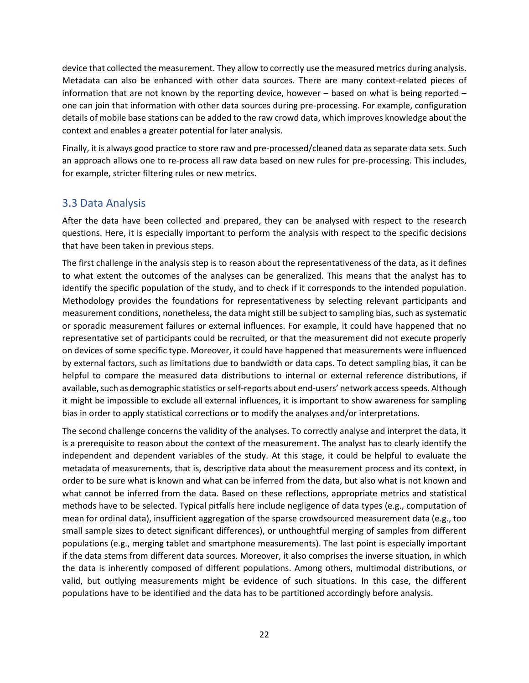device that collected the measurement. They allow to correctly use the measured metrics during analysis. Metadata can also be enhanced with other data sources. There are many context-related pieces of information that are not known by the reporting device, however – based on what is being reported – one can join that information with other data sources during pre-processing. For example, configuration details of mobile base stations can be added to the raw crowd data, which improves knowledge about the context and enables a greater potential for later analysis.

Finally, it is always good practice to store raw and pre-processed/cleaned data as separate data sets. Such an approach allows one to re-process all raw data based on new rules for pre-processing. This includes, for example, stricter filtering rules or new metrics.

### 3.3 Data Analysis

After the data have been collected and prepared, they can be analysed with respect to the research questions. Here, it is especially important to perform the analysis with respect to the specific decisions that have been taken in previous steps.

The first challenge in the analysis step is to reason about the representativeness of the data, as it defines to what extent the outcomes of the analyses can be generalized. This means that the analyst has to identify the specific population of the study, and to check if it corresponds to the intended population. Methodology provides the foundations for representativeness by selecting relevant participants and measurement conditions, nonetheless, the data might still be subject to sampling bias, such as systematic or sporadic measurement failures or external influences. For example, it could have happened that no representative set of participants could be recruited, or that the measurement did not execute properly on devices of some specific type. Moreover, it could have happened that measurements were influenced by external factors, such as limitations due to bandwidth or data caps. To detect sampling bias, it can be helpful to compare the measured data distributions to internal or external reference distributions, if available, such as demographic statistics or self-reports about end-users' network access speeds. Although it might be impossible to exclude all external influences, it is important to show awareness for sampling bias in order to apply statistical corrections or to modify the analyses and/or interpretations.

The second challenge concerns the validity of the analyses. To correctly analyse and interpret the data, it is a prerequisite to reason about the context of the measurement. The analyst has to clearly identify the independent and dependent variables of the study. At this stage, it could be helpful to evaluate the metadata of measurements, that is, descriptive data about the measurement process and its context, in order to be sure what is known and what can be inferred from the data, but also what is not known and what cannot be inferred from the data. Based on these reflections, appropriate metrics and statistical methods have to be selected. Typical pitfalls here include negligence of data types (e.g., computation of mean for ordinal data), insufficient aggregation of the sparse crowdsourced measurement data (e.g., too small sample sizes to detect significant differences), or unthoughtful merging of samples from different populations (e.g., merging tablet and smartphone measurements). The last point is especially important if the data stems from different data sources. Moreover, it also comprises the inverse situation, in which the data is inherently composed of different populations. Among others, multimodal distributions, or valid, but outlying measurements might be evidence of such situations. In this case, the different populations have to be identified and the data has to be partitioned accordingly before analysis.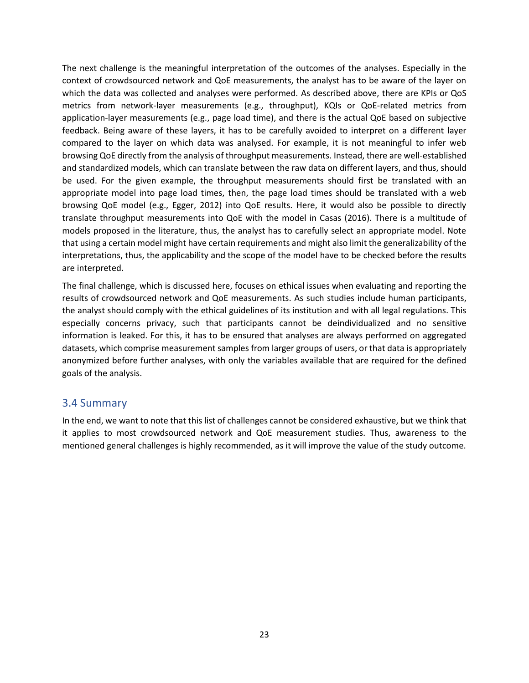The next challenge is the meaningful interpretation of the outcomes of the analyses. Especially in the context of crowdsourced network and QoE measurements, the analyst has to be aware of the layer on which the data was collected and analyses were performed. As described above, there are KPIs or QoS metrics from network-layer measurements (e.g., throughput), KQIs or QoE-related metrics from application-layer measurements (e.g., page load time), and there is the actual QoE based on subjective feedback. Being aware of these layers, it has to be carefully avoided to interpret on a different layer compared to the layer on which data was analysed. For example, it is not meaningful to infer web browsing QoE directly from the analysis of throughput measurements. Instead, there are well-established and standardized models, which can translate between the raw data on different layers, and thus, should be used. For the given example, the throughput measurements should first be translated with an appropriate model into page load times, then, the page load times should be translated with a web browsing QoE model (e.g., Egger, 2012) into QoE results. Here, it would also be possible to directly translate throughput measurements into QoE with the model in Casas (2016). There is a multitude of models proposed in the literature, thus, the analyst has to carefully select an appropriate model. Note that using a certain model might have certain requirements and might also limit the generalizability of the interpretations, thus, the applicability and the scope of the model have to be checked before the results are interpreted.

The final challenge, which is discussed here, focuses on ethical issues when evaluating and reporting the results of crowdsourced network and QoE measurements. As such studies include human participants, the analyst should comply with the ethical guidelines of its institution and with all legal regulations. This especially concerns privacy, such that participants cannot be deindividualized and no sensitive information is leaked. For this, it has to be ensured that analyses are always performed on aggregated datasets, which comprise measurement samples from larger groups of users, or that data is appropriately anonymized before further analyses, with only the variables available that are required for the defined goals of the analysis.

#### 3.4 Summary

In the end, we want to note that this list of challenges cannot be considered exhaustive, but we think that it applies to most crowdsourced network and QoE measurement studies. Thus, awareness to the mentioned general challenges is highly recommended, as it will improve the value of the study outcome.